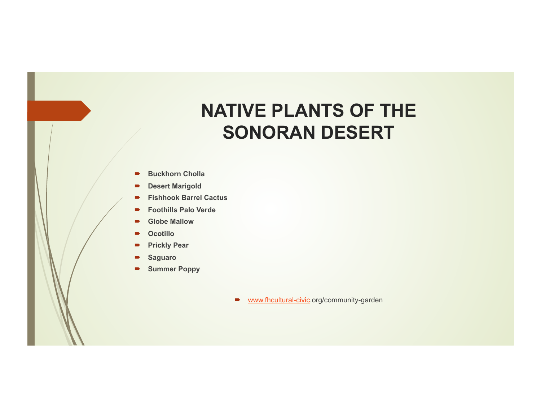# **NATIVE PLANTS OF THE SONORAN DESERT**

- ! **Buckhorn Cholla**
- ! **Desert Marigold**
- ! **Fishhook Barrel Cactus**
- ! **Foothills Palo Verde**
- ! **Globe Mallow**
- ! **Ocotillo**
- ! **Prickly Pear**
- ! **Saguaro**
- ! **Summer Poppy**
- **EXECUTE:** www.fhcultural-civic.org/community-garden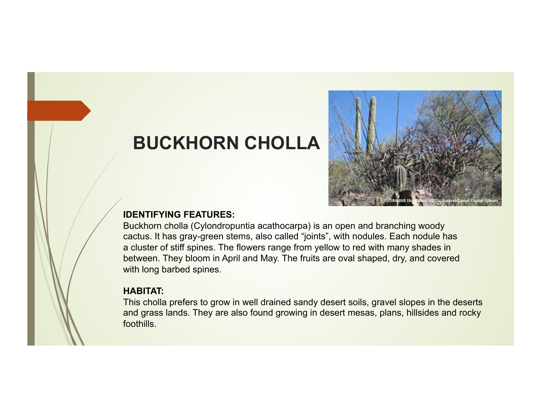## **BUCKHORN CHOLLA**



#### **IDENTIFYING FEATURES:**

Buckhorn cholla (Cylondropuntia acathocarpa) is an open and branching woody cactus. It has gray-green stems, also called "joints", with nodules. Each nodule has a cluster of stiff spines. The flowers range from yellow to red with many shades in between. They bloom in April and May. The fruits are oval shaped, dry, and covered with long barbed spines.

#### **HABITAT:**

This cholla prefers to grow in well drained sandy desert soils, gravel slopes in the deserts and grass lands. They are also found growing in desert mesas, plans, hillsides and rocky foothills.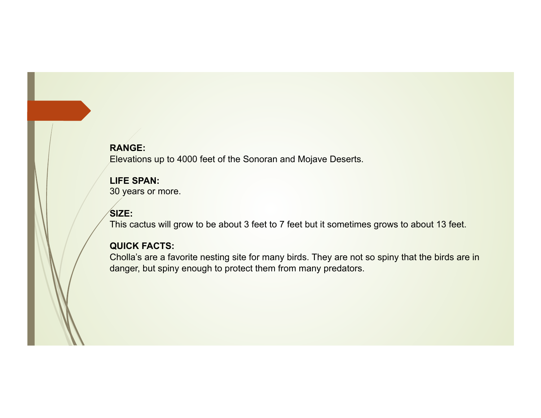## **RANGE:**  Elevations up to 4000 feet of the Sonoran and Mojave Deserts.

#### **LIFE SPAN:**  30 years or more.

## **SIZE:**

This cactus will grow to be about 3 feet to 7 feet but it sometimes grows to about 13 feet.

## **QUICK FACTS:**

Cholla's are a favorite nesting site for many birds. They are not so spiny that the birds are in danger, but spiny enough to protect them from many predators.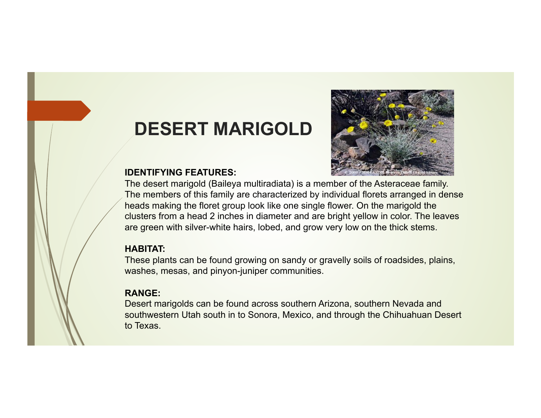# **DESERT MARIGOLD**



## **IDENTIFYING FEATURES:**

The desert marigold (Baileya multiradiata) is a member of the Asteraceae family. The members of this family are characterized by individual florets arranged in dense heads making the floret group look like one single flower. On the marigold the clusters from a head 2 inches in diameter and are bright yellow in color. The leaves are green with silver-white hairs, lobed, and grow very low on the thick stems.

## **HABITAT:**

These plants can be found growing on sandy or gravelly soils of roadsides, plains, washes, mesas, and pinyon-juniper communities.

## **RANGE:**

Desert marigolds can be found across southern Arizona, southern Nevada and southwestern Utah south in to Sonora, Mexico, and through the Chihuahuan Desert to Texas.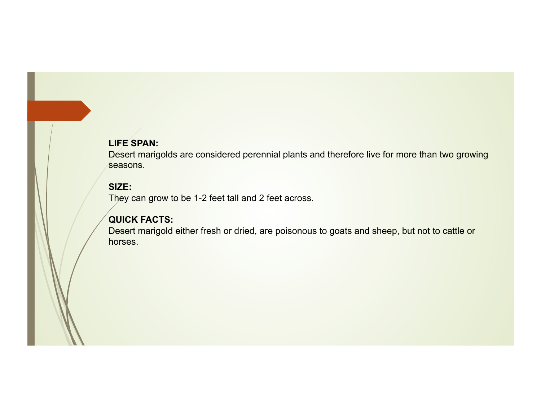Desert marigolds are considered perennial plants and therefore live for more than two growing seasons.

## **SIZE:**

They can grow to be 1-2 feet tall and 2 feet across.

## **QUICK FACTS:**

Desert marigold either fresh or dried, are poisonous to goats and sheep, but not to cattle or horses.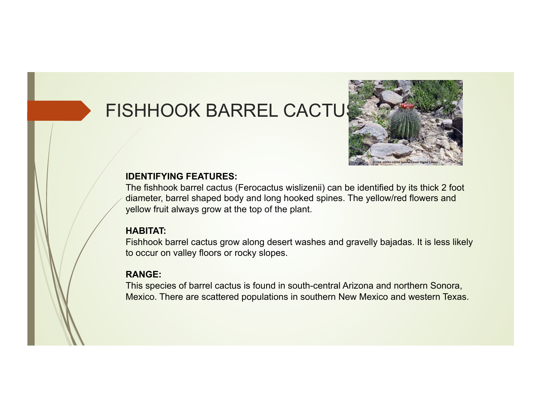# **FISHHOOK BARREL CACTU**



#### **IDENTIFYING FEATURES:**

The fishhook barrel cactus (Ferocactus wislizenii) can be identified by its thick 2 foot diameter, barrel shaped body and long hooked spines. The yellow/red flowers and yellow fruit always grow at the top of the plant.

## **HABITAT:**

Fishhook barrel cactus grow along desert washes and gravelly bajadas. It is less likely to occur on valley floors or rocky slopes.

## **RANGE:**

This species of barrel cactus is found in south-central Arizona and northern Sonora, Mexico. There are scattered populations in southern New Mexico and western Texas.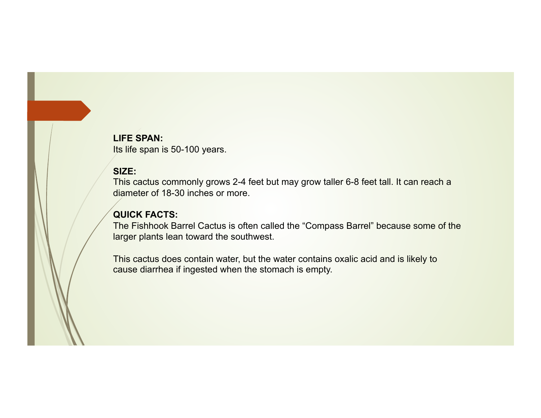Its life span is 50-100 years.

#### **SIZE:**

This cactus commonly grows 2-4 feet but may grow taller 6-8 feet tall. It can reach a diameter of 18-30 inches or more.

## **QUICK FACTS:**

The Fishhook Barrel Cactus is often called the "Compass Barrel" because some of the larger plants lean toward the southwest.

This cactus does contain water, but the water contains oxalic acid and is likely to cause diarrhea if ingested when the stomach is empty.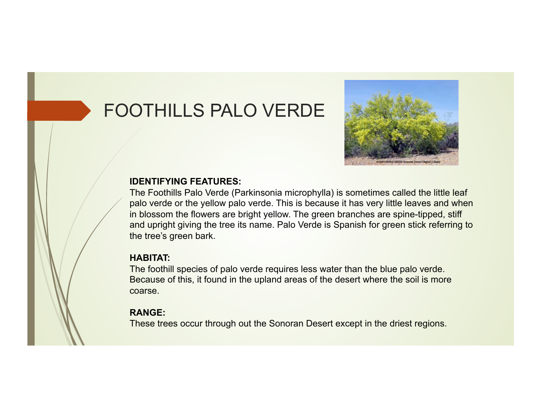# FOOTHILLS PALO VERDE



#### **IDENTIFYING FEATURES:**

The Foothills Palo Verde (Parkinsonia microphylla) is sometimes called the little leaf palo verde or the yellow palo verde. This is because it has very little leaves and when in blossom the flowers are bright yellow. The green branches are spine-tipped, stiff and upright giving the tree its name. Palo Verde is Spanish for green stick referring to the tree's green bark.

## **HABITAT:**

The foothill species of palo verde requires less water than the blue palo verde. Because of this, it found in the upland areas of the desert where the soil is more coarse.

#### **RANGE:**

These trees occur through out the Sonoran Desert except in the driest regions.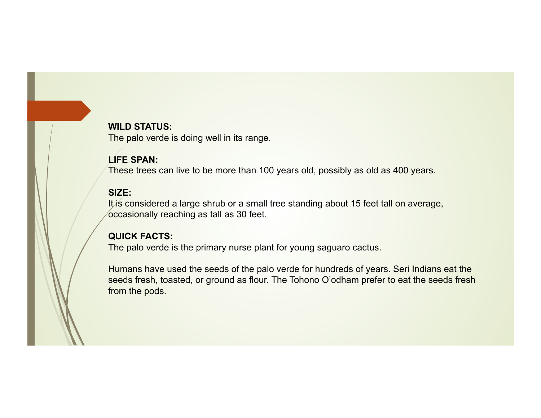#### **WILD STATUS:**

The palo verde is doing well in its range.

#### **LIFE SPAN:**

These trees can live to be more than 100 years old, possibly as old as 400 years.

#### **SIZE:**

It is considered a large shrub or a small tree standing about 15 feet tall on average, occasionally reaching as tall as 30 feet.

## **QUICK FACTS:**

The palo verde is the primary nurse plant for young saguaro cactus.

Humans have used the seeds of the palo verde for hundreds of years. Seri Indians eat the seeds fresh, toasted, or ground as flour. The Tohono O'odham prefer to eat the seeds fresh from the pods.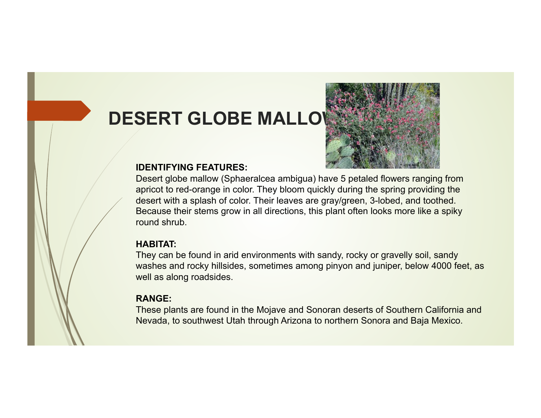# **DESERT GLOBE MALLO**



#### **IDENTIFYING FEATURES:**

Desert globe mallow (Sphaeralcea ambigua) have 5 petaled flowers ranging from apricot to red-orange in color. They bloom quickly during the spring providing the desert with a splash of color. Their leaves are gray/green, 3-lobed, and toothed. Because their stems grow in all directions, this plant often looks more like a spiky round shrub.

#### **HABITAT:**

They can be found in arid environments with sandy, rocky or gravelly soil, sandy washes and rocky hillsides, sometimes among pinyon and juniper, below 4000 feet, as well as along roadsides.

#### **RANGE:**

These plants are found in the Mojave and Sonoran deserts of Southern California and Nevada, to southwest Utah through Arizona to northern Sonora and Baja Mexico.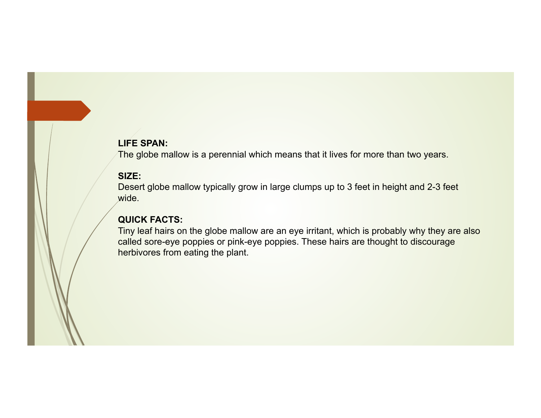The globe mallow is a perennial which means that it lives for more than two years.

#### **SIZE:**

Desert globe mallow typically grow in large clumps up to 3 feet in height and 2-3 feet wide.

## **QUICK FACTS:**

Tiny leaf hairs on the globe mallow are an eye irritant, which is probably why they are also called sore-eye poppies or pink-eye poppies. These hairs are thought to discourage herbivores from eating the plant.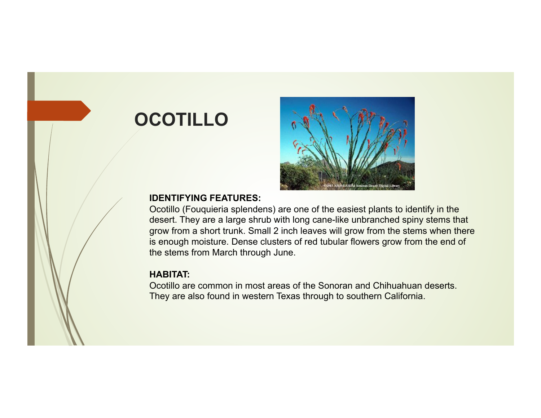## **OCOTILLO**



#### **IDENTIFYING FEATURES:**

Ocotillo (Fouquieria splendens) are one of the easiest plants to identify in the desert. They are a large shrub with long cane-like unbranched spiny stems that grow from a short trunk. Small 2 inch leaves will grow from the stems when there is enough moisture. Dense clusters of red tubular flowers grow from the end of the stems from March through June.

## **HABITAT:**

Ocotillo are common in most areas of the Sonoran and Chihuahuan deserts. They are also found in western Texas through to southern California.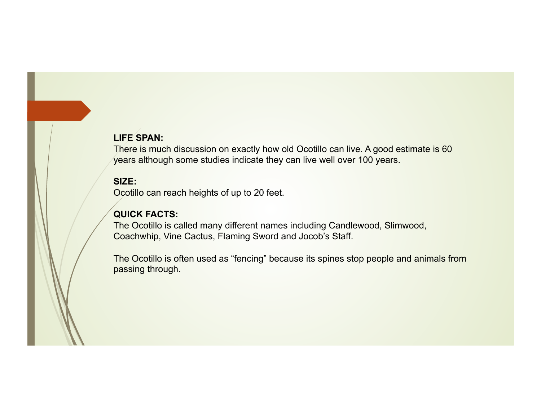There is much discussion on exactly how old Ocotillo can live. A good estimate is 60 years although some studies indicate they can live well over 100 years.

#### **SIZE:**

Ocotillo can reach heights of up to 20 feet.

#### **QUICK FACTS:**

The Ocotillo is called many different names including Candlewood, Slimwood, Coachwhip, Vine Cactus, Flaming Sword and Jocob's Staff.

The Ocotillo is often used as "fencing" because its spines stop people and animals from passing through.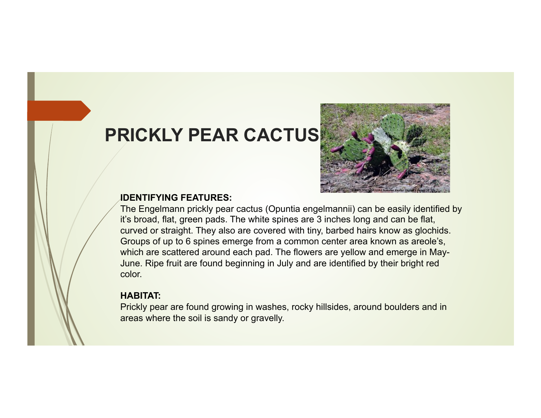## **PRICKLY PEAR CACTUS**



#### **IDENTIFYING FEATURES:**

The Engelmann prickly pear cactus (Opuntia engelmannii) can be easily identified by it's broad, flat, green pads. The white spines are 3 inches long and can be flat, curved or straight. They also are covered with tiny, barbed hairs know as glochids. Groups of up to 6 spines emerge from a common center area known as areole's, which are scattered around each pad. The flowers are yellow and emerge in May-June. Ripe fruit are found beginning in July and are identified by their bright red color.

#### **HABITAT:**

Prickly pear are found growing in washes, rocky hillsides, around boulders and in areas where the soil is sandy or gravelly.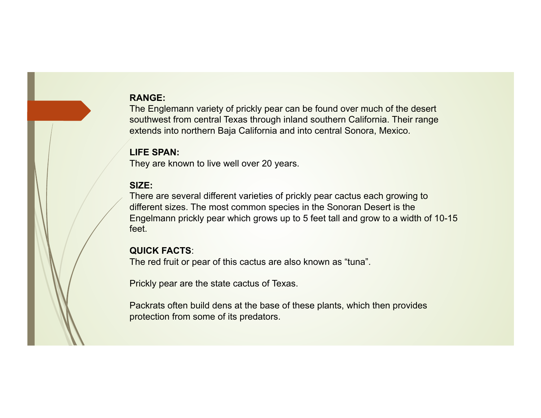#### **RANGE:**

The Englemann variety of prickly pear can be found over much of the desert southwest from central Texas through inland southern California. Their range extends into northern Baja California and into central Sonora, Mexico.

#### **LIFE SPAN:**

They are known to live well over 20 years.

#### **SIZE:**

There are several different varieties of prickly pear cactus each growing to different sizes. The most common species in the Sonoran Desert is the Engelmann prickly pear which grows up to 5 feet tall and grow to a width of 10-15 feet.

#### **QUICK FACTS**:

The red fruit or pear of this cactus are also known as "tuna".

Prickly pear are the state cactus of Texas.

Packrats often build dens at the base of these plants, which then provides protection from some of its predators.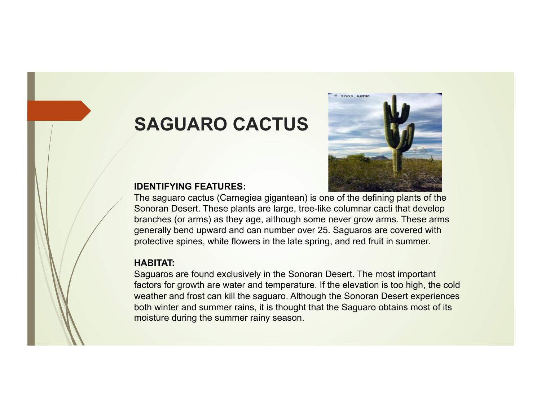## **SAGUARO CACTUS**



#### **IDENTIFYING FEATURES:**

The saguaro cactus (Carnegiea gigantean) is one of the defining plants of the Sonoran Desert. These plants are large, tree-like columnar cacti that develop branches (or arms) as they age, although some never grow arms. These arms generally bend upward and can number over 25. Saguaros are covered with protective spines, white flowers in the late spring, and red fruit in summer.

## **HABITAT:**

Saguaros are found exclusively in the Sonoran Desert. The most important factors for growth are water and temperature. If the elevation is too high, the cold weather and frost can kill the saguaro. Although the Sonoran Desert experiences both winter and summer rains, it is thought that the Saguaro obtains most of its moisture during the summer rainy season.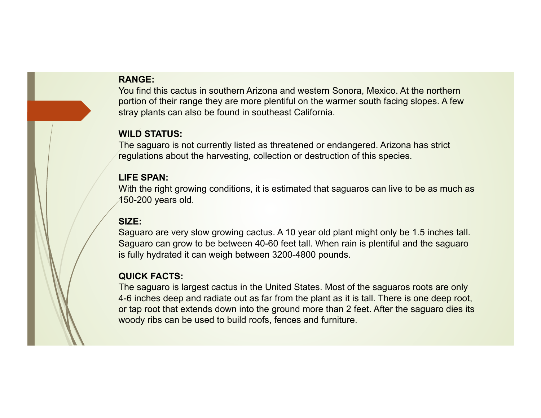#### **RANGE:**

You find this cactus in southern Arizona and western Sonora, Mexico. At the northern portion of their range they are more plentiful on the warmer south facing slopes. A few stray plants can also be found in southeast California.

#### **WILD STATUS:**

The saguaro is not currently listed as threatened or endangered. Arizona has strict regulations about the harvesting, collection or destruction of this species.

## **LIFE SPAN:**

With the right growing conditions, it is estimated that saguaros can live to be as much as 150-200 years old.

## **SIZE:**

Saguaro are very slow growing cactus. A 10 year old plant might only be 1.5 inches tall. Saguaro can grow to be between 40-60 feet tall. When rain is plentiful and the saguaro is fully hydrated it can weigh between 3200-4800 pounds.

#### **QUICK FACTS:**

The saguaro is largest cactus in the United States. Most of the saguaros roots are only 4-6 inches deep and radiate out as far from the plant as it is tall. There is one deep root, or tap root that extends down into the ground more than 2 feet. After the saguaro dies its woody ribs can be used to build roofs, fences and furniture.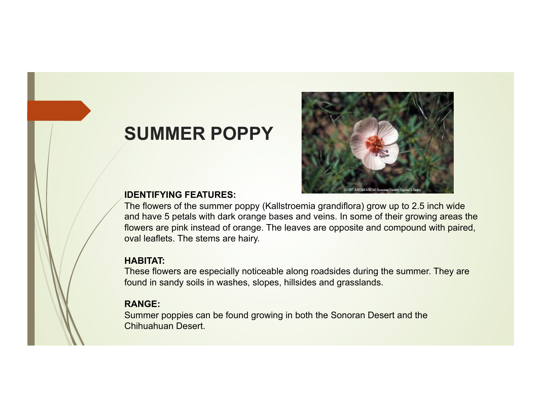## **SUMMER POPPY**



## **IDENTIFYING FEATURES:**

The flowers of the summer poppy (Kallstroemia grandiflora) grow up to 2.5 inch wide and have 5 petals with dark orange bases and veins. In some of their growing areas the flowers are pink instead of orange. The leaves are opposite and compound with paired, oval leaflets. The stems are hairy.

#### **HABITAT:**

These flowers are especially noticeable along roadsides during the summer. They are found in sandy soils in washes, slopes, hillsides and grasslands.

## **RANGE:**

Summer poppies can be found growing in both the Sonoran Desert and the Chihuahuan Desert.